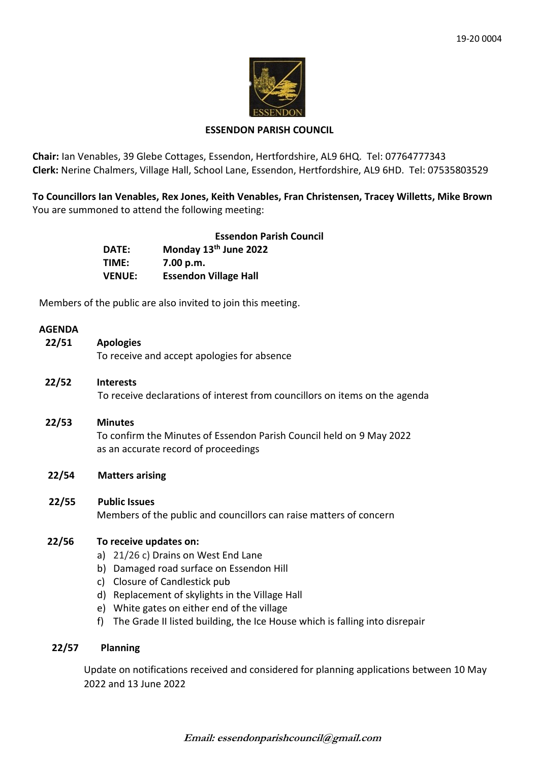

### **ESSENDON PARISH COUNCIL**

**Chair:** Ian Venables, 39 Glebe Cottages, Essendon, Hertfordshire, AL9 6HQ. Tel: 07764777343 **Clerk:** Nerine Chalmers, Village Hall, School Lane, Essendon, Hertfordshire, AL9 6HD. Tel: 07535803529

**To Councillors Ian Venables, Rex Jones, Keith Venables, Fran Christensen, Tracey Willetts, Mike Brown** You are summoned to attend the following meeting:

|               | <b>Essendon Parish Council</b> |
|---------------|--------------------------------|
| DATE:         | Monday 13th June 2022          |
| TIME:         | 7.00 p.m.                      |
| <b>VENUE:</b> | <b>Essendon Village Hall</b>   |

Members of the public are also invited to join this meeting.

### **AGENDA**

| 22/51 | <b>Apologies</b><br>To receive and accept apologies for absence                                              |
|-------|--------------------------------------------------------------------------------------------------------------|
|       |                                                                                                              |
| 22/52 | <b>Interests</b><br>To receive declarations of interest from councillors on items on the agenda              |
| 22/53 | <b>Minutes</b>                                                                                               |
|       | To confirm the Minutes of Essendon Parish Council held on 9 May 2022<br>as an accurate record of proceedings |
| 22/54 | <b>Matters arising</b>                                                                                       |
| 22/55 | <b>Public Issues</b>                                                                                         |
|       | Members of the public and councillors can raise matters of concern                                           |
| 22/56 | To receive updates on:                                                                                       |
|       | a) 21/26 c) Drains on West End Lane                                                                          |
|       | Damaged road surface on Essendon Hill<br>b)                                                                  |
|       | Closure of Candlestick pub<br>C)                                                                             |
|       | d)<br>Replacement of skylights in the Village Hall                                                           |
|       | White gates on either end of the village<br>e)<br>f)                                                         |
|       | The Grade II listed building, the Ice House which is falling into disrepair                                  |
| 22/57 | <b>Planning</b>                                                                                              |

Update on notifications received and considered for planning applications between 10 May 2022 and 13 June 2022

**Email: essendonparishcouncil@gmail.com**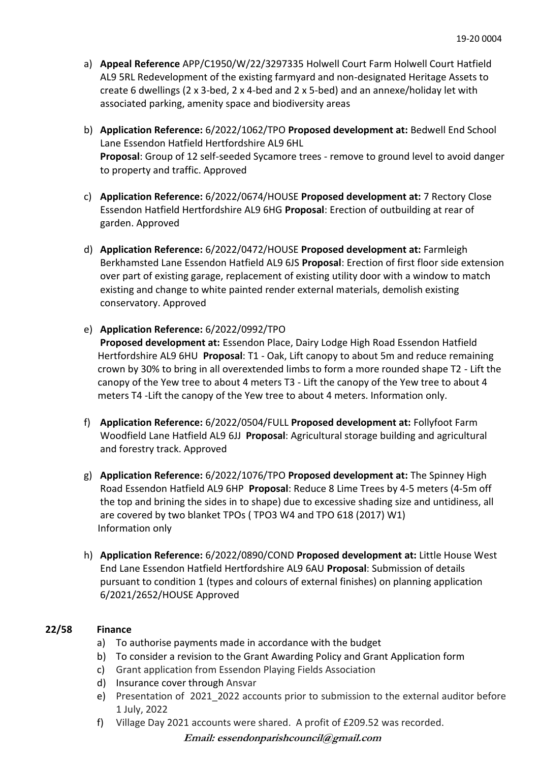- a) **Appeal Reference** APP/C1950/W/22/3297335 Holwell Court Farm Holwell Court Hatfield AL9 5RL Redevelopment of the existing farmyard and non-designated Heritage Assets to create 6 dwellings (2 x 3-bed, 2 x 4-bed and 2 x 5-bed) and an annexe/holiday let with associated parking, amenity space and biodiversity areas
- b) **Application Reference:** 6/2022/1062/TPO **Proposed development at:** Bedwell End School Lane Essendon Hatfield Hertfordshire AL9 6HL **Proposal**: Group of 12 self-seeded Sycamore trees - remove to ground level to avoid danger to property and traffic. Approved
- c) **Application Reference:** 6/2022/0674/HOUSE **Proposed development at:** 7 Rectory Close Essendon Hatfield Hertfordshire AL9 6HG **Proposal**: Erection of outbuilding at rear of garden. Approved
- d) **Application Reference:** 6/2022/0472/HOUSE **Proposed development at:** Farmleigh Berkhamsted Lane Essendon Hatfield AL9 6JS **Proposal**: Erection of first floor side extension over part of existing garage, replacement of existing utility door with a window to match existing and change to white painted render external materials, demolish existing conservatory. Approved
- e) **Application Reference:** 6/2022/0992/TPO **Proposed development at:** Essendon Place, Dairy Lodge High Road Essendon Hatfield Hertfordshire AL9 6HU **Proposal**: T1 - Oak, Lift canopy to about 5m and reduce remaining crown by 30% to bring in all overextended limbs to form a more rounded shape T2 - Lift the canopy of the Yew tree to about 4 meters T3 - Lift the canopy of the Yew tree to about 4

meters T4 -Lift the canopy of the Yew tree to about 4 meters. Information only.

- f) **Application Reference:** 6/2022/0504/FULL **Proposed development at:** Follyfoot Farm Woodfield Lane Hatfield AL9 6JJ **Proposal**: Agricultural storage building and agricultural and forestry track. Approved
- g) **Application Reference:** 6/2022/1076/TPO **Proposed development at:** The Spinney High Road Essendon Hatfield AL9 6HP **Proposal**: Reduce 8 Lime Trees by 4-5 meters (4-5m off the top and brining the sides in to shape) due to excessive shading size and untidiness, all are covered by two blanket TPOs ( TPO3 W4 and TPO 618 (2017) W1) Information only
- h) **Application Reference:** 6/2022/0890/COND **Proposed development at:** Little House West End Lane Essendon Hatfield Hertfordshire AL9 6AU **Proposal**: Submission of details pursuant to condition 1 (types and colours of external finishes) on planning application 6/2021/2652/HOUSE Approved

# **22/58 Finance**

- a) To authorise payments made in accordance with the budget
- b) To consider a revision to the Grant Awarding Policy and Grant Application form
- c) Grant application from Essendon Playing Fields Association
- d) Insurance cover through Ansvar
- e) Presentation of 2021\_2022 accounts prior to submission to the external auditor before 1 July, 2022
- f) Village Day 2021 accounts were shared. A profit of £209.52 was recorded.

**Email: essendonparishcouncil@gmail.com**